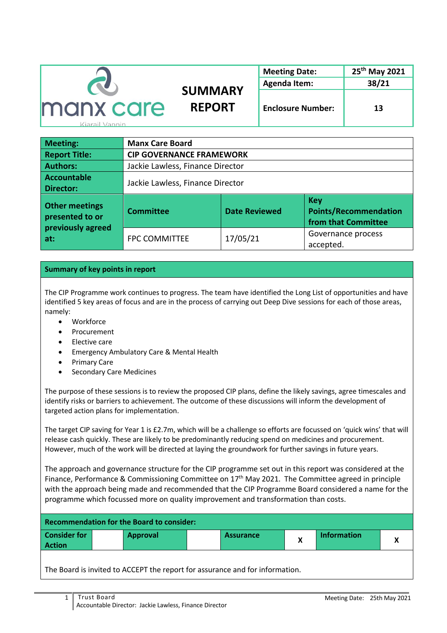|                  |                | <b>Meeting Date:</b>     | 25 <sup>th</sup> May 2021 |  |
|------------------|----------------|--------------------------|---------------------------|--|
| N                |                | <b>Agenda Item:</b>      | 38/21                     |  |
|                  | <b>SUMMARY</b> |                          |                           |  |
| <b>manx care</b> | <b>REPORT</b>  | <b>Enclosure Number:</b> | 13                        |  |

Kiarail Vannin

| Meeting:                                                      | <b>Manx Care Board</b>           |                      |                                                                   |
|---------------------------------------------------------------|----------------------------------|----------------------|-------------------------------------------------------------------|
| <b>Report Title:</b>                                          | <b>CIP GOVERNANCE FRAMEWORK</b>  |                      |                                                                   |
| <b>Authors:</b>                                               | Jackie Lawless, Finance Director |                      |                                                                   |
| Accountable<br><b>Director:</b>                               | Jackie Lawless, Finance Director |                      |                                                                   |
| Other meetings<br>presented to or<br>previously agreed<br>at: | <b>Committee</b>                 | <b>Date Reviewed</b> | <b>Key</b><br><b>Points/Recommendation</b><br>from that Committee |
|                                                               | <b>FPC COMMITTEE</b>             | 17/05/21             | Governance process<br>accepted.                                   |

## **Summary of key points in report**

The CIP Programme work continues to progress. The team have identified the Long List of opportunities and have identified 5 key areas of focus and are in the process of carrying out Deep Dive sessions for each of those areas, namely:

- Workforce
- Procurement
- Elective care
- Emergency Ambulatory Care & Mental Health
- Primary Care
- Secondary Care Medicines

The purpose of these sessions is to review the proposed CIP plans, define the likely savings, agree timescales and identify risks or barriers to achievement. The outcome of these discussions will inform the development of targeted action plans for implementation.

The target CIP saving for Year 1 is £2.7m, which will be a challenge so efforts are focussed on 'quick wins' that will release cash quickly. These are likely to be predominantly reducing spend on medicines and procurement. However, much of the work will be directed at laying the groundwork for further savings in future years.

The approach and governance structure for the CIP programme set out in this report was considered at the Finance, Performance & Commissioning Committee on 17th May 2021. The Committee agreed in principle with the approach being made and recommended that the CIP Programme Board considered a name for the programme which focussed more on quality improvement and transformation than costs.

| <b>Recommendation for the Board to consider:</b> |  |                 |  |           |                    |  |
|--------------------------------------------------|--|-----------------|--|-----------|--------------------|--|
| <b>Consider for</b><br><b>Action</b>             |  | <b>Approval</b> |  | Assurance | <b>Information</b> |  |
|                                                  |  |                 |  |           |                    |  |

The Board is invited to ACCEPT the report for assurance and for information.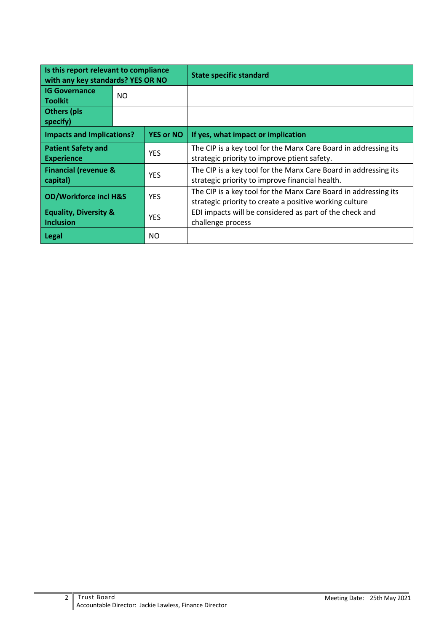| Is this report relevant to compliance<br>with any key standards? YES OR NO |     |                  | <b>State specific standard</b>                                                                                             |  |
|----------------------------------------------------------------------------|-----|------------------|----------------------------------------------------------------------------------------------------------------------------|--|
| <b>IG Governance</b><br><b>Toolkit</b>                                     | NO. |                  |                                                                                                                            |  |
| <b>Others (pls</b><br>specify)                                             |     |                  |                                                                                                                            |  |
| <b>Impacts and Implications?</b>                                           |     | <b>YES or NO</b> | If yes, what impact or implication                                                                                         |  |
| <b>Patient Safety and</b><br><b>Experience</b>                             |     | <b>YES</b>       | The CIP is a key tool for the Manx Care Board in addressing its<br>strategic priority to improve ptient safety.            |  |
| <b>Financial (revenue &amp;</b><br>capital)                                |     | <b>YES</b>       | The CIP is a key tool for the Manx Care Board in addressing its<br>strategic priority to improve financial health.         |  |
| <b>OD/Workforce incl H&amp;S</b>                                           |     | <b>YES</b>       | The CIP is a key tool for the Manx Care Board in addressing its<br>strategic priority to create a positive working culture |  |
| <b>Equality, Diversity &amp;</b><br><b>Inclusion</b>                       |     | <b>YES</b>       | EDI impacts will be considered as part of the check and<br>challenge process                                               |  |
| <b>Legal</b>                                                               |     | NO.              |                                                                                                                            |  |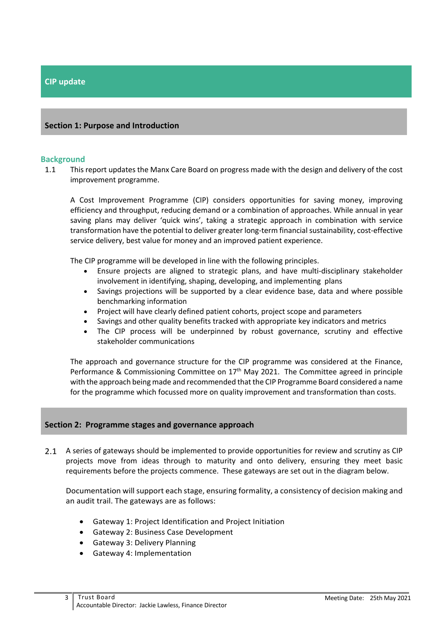# **CIP update**

## **Section 1: Purpose and Introduction**

#### **Background**

1.1 This report updates the Manx Care Board on progress made with the design and delivery of the cost improvement programme.

A Cost Improvement Programme (CIP) considers opportunities for saving money, improving efficiency and throughput, reducing demand or a combination of approaches. While annual in year saving plans may deliver 'quick wins', taking a strategic approach in combination with service transformation have the potential to deliver greater long-term financial sustainability, cost-effective service delivery, best value for money and an improved patient experience.

The CIP programme will be developed in line with the following principles.

- Ensure projects are aligned to strategic plans, and have multi-disciplinary stakeholder involvement in identifying, shaping, developing, and implementing plans
- Savings projections will be supported by a clear evidence base, data and where possible benchmarking information
- Project will have clearly defined patient cohorts, project scope and parameters
- Savings and other quality benefits tracked with appropriate key indicators and metrics
- The CIP process will be underpinned by robust governance, scrutiny and effective stakeholder communications

The approach and governance structure for the CIP programme was considered at the Finance, Performance & Commissioning Committee on  $17<sup>th</sup>$  May 2021. The Committee agreed in principle with the approach being made and recommended that the CIP Programme Board considered a name for the programme which focussed more on quality improvement and transformation than costs.

## **Section 2: Programme stages and governance approach**

2.1 A series of gateways should be implemented to provide opportunities for review and scrutiny as CIP projects move from ideas through to maturity and onto delivery, ensuring they meet basic requirements before the projects commence. These gateways are set out in the diagram below.

Documentation will support each stage, ensuring formality, a consistency of decision making and an audit trail. The gateways are as follows:

- Gateway 1: Project Identification and Project Initiation
- Gateway 2: Business Case Development
- Gateway 3: Delivery Planning
- Gateway 4: Implementation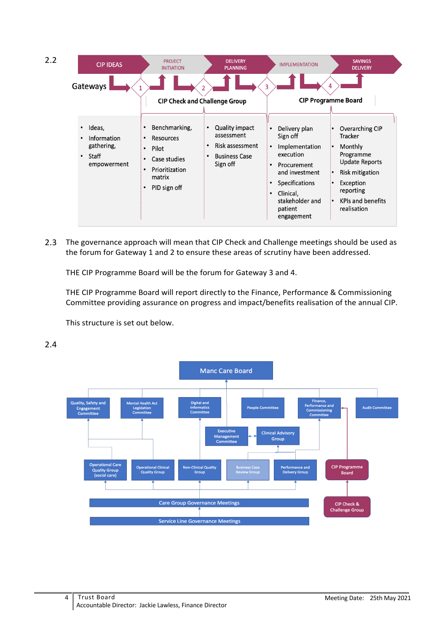

2.3 The governance approach will mean that CIP Check and Challenge meetings should be used as the forum for Gateway 1 and 2 to ensure these areas of scrutiny have been addressed.

THE CIP Programme Board will be the forum for Gateway 3 and 4.

THE CIP Programme Board will report directly to the Finance, Performance & Commissioning Committee providing assurance on progress and impact/benefits realisation of the annual CIP.

This structure is set out below.



## 2.4